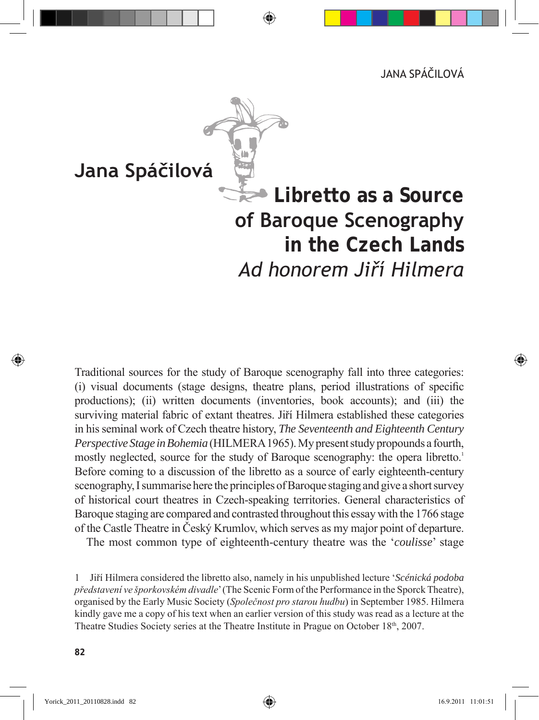

## **Jana Spáčilová**

# **Libretto as a Source of Baroque Scenography in the Czech Lands** *Ad honorem Jiří Hilmera*

Traditional sources for the study of Baroque scenography fall into three categories: (i) visual documents (stage designs, theatre plans, period illustrations of specific productions); (ii) written documents (inventories, book accounts); and (iii) the surviving material fabric of extant theatres. Jiří Hilmera established these categories in his seminal work of Czech theatre history, *The Seventeenth and Eighteenth Century Perspective Stage in Bohemia* (HILMERA 1965). My present study propounds a fourth, mostly neglected, source for the study of Baroque scenography: the opera libretto.<sup>1</sup> Before coming to a discussion of the libretto as a source of early eighteenth-century scenography, I summarise here the principles of Baroque staging and give a short survey of historical court theatres in Czech-speaking territories. General characteristics of Baroque staging are compared and contrasted throughout this essay with the 1766 stage of the Castle Theatre in Český Krumlov, which serves as my major point of departure.

The most common type of eighteenth-century theatre was the '*coulisse*' stage

<sup>1</sup> Jiří Hilmera considered the libretto also, namely in his unpublished lecture '*Scénická podoba představení ve šporkovském divadle*' (The Scenic Form of the Performance in the Sporck Theatre), organised by the Early Music Society (*Společnost pro starou hudbu*) in September 1985. Hilmera kindly gave me a copy of his text when an earlier version of this study was read as a lecture at the Theatre Studies Society series at the Theatre Institute in Prague on October 18th, 2007.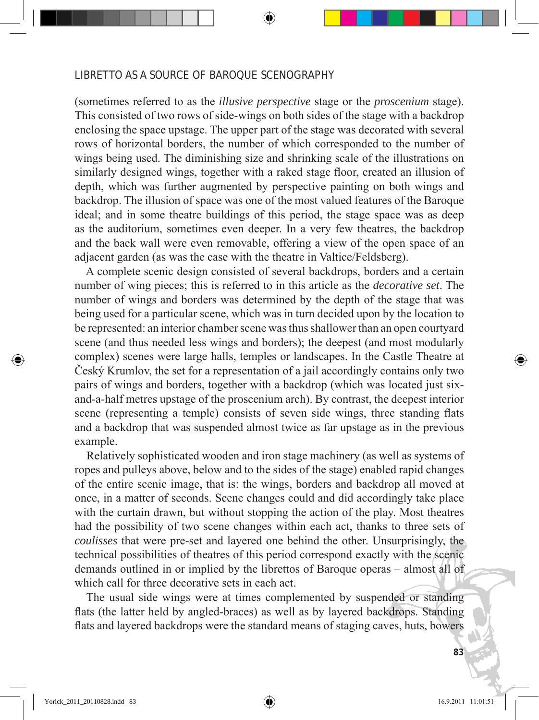(sometimes referred to as the *illusive perspective* stage or the *proscenium* stage). This consisted of two rows of side-wings on both sides of the stage with a backdrop enclosing the space upstage. The upper part of the stage was decorated with several rows of horizontal borders, the number of which corresponded to the number of wings being used. The diminishing size and shrinking scale of the illustrations on similarly designed wings, together with a raked stage floor, created an illusion of depth, which was further augmented by perspective painting on both wings and backdrop. The illusion of space was one of the most valued features of the Baroque ideal; and in some theatre buildings of this period, the stage space was as deep as the auditorium, sometimes even deeper. In a very few theatres, the backdrop and the back wall were even removable, offering a view of the open space of an adjacent garden (as was the case with the theatre in Valtice/Feldsberg).

 A complete scenic design consisted of several backdrops, borders and a certain number of wing pieces; this is referred to in this article as the *decorative set*. The number of wings and borders was determined by the depth of the stage that was being used for a particular scene, which was in turn decided upon by the location to be represented: an interior chamber scene was thus shallower than an open courtyard scene (and thus needed less wings and borders); the deepest (and most modularly complex) scenes were large halls, temples or landscapes. In the Castle Theatre at Český Krumlov, the set for a representation of a jail accordingly contains only two pairs of wings and borders, together with a backdrop (which was located just sixand-a-half metres upstage of the proscenium arch). By contrast, the deepest interior scene (representing a temple) consists of seven side wings, three standing flats and a backdrop that was suspended almost twice as far upstage as in the previous example.

 Relatively sophisticated wooden and iron stage machinery (as well as systems of ropes and pulleys above, below and to the sides of the stage) enabled rapid changes of the entire scenic image, that is: the wings, borders and backdrop all moved at once, in a matter of seconds. Scene changes could and did accordingly take place with the curtain drawn, but without stopping the action of the play. Most theatres had the possibility of two scene changes within each act, thanks to three sets of *coulisses* that were pre-set and layered one behind the other. Unsurprisingly, the technical possibilities of theatres of this period correspond exactly with the scenic demands outlined in or implied by the librettos of Baroque operas – almost all of which call for three decorative sets in each act.

 The usual side wings were at times complemented by suspended or standing flats (the latter held by angled-braces) as well as by layered backdrops. Standing flats and layered backdrops were the standard means of staging caves, huts, bowers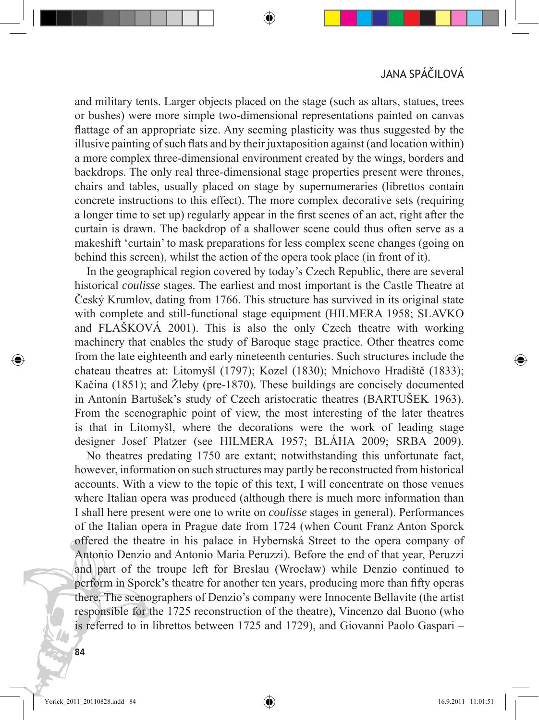and military tents. Larger objects placed on the stage (such as altars, statues, trees or bushes) were more simple two-dimensional representations painted on canvas flattage of an appropriate size. Any seeming plasticity was thus suggested by the illusive painting of such flats and by their juxtaposition against (and location within) a more complex three-dimensional environment created by the wings, borders and backdrops. The only real three-dimensional stage properties present were thrones, chairs and tables, usually placed on stage by supernumeraries (librettos contain concrete instructions to this effect). The more complex decorative sets (requiring a longer time to set up) regularly appear in the first scenes of an act, right after the curtain is drawn. The backdrop of a shallower scene could thus often serve as a makeshift 'curtain' to mask preparations for less complex scene changes (going on behind this screen), whilst the action of the opera took place (in front of it).

 In the geographical region covered by today's Czech Republic, there are several historical *coulisse* stages. The earliest and most important is the Castle Theatre at Český Krumlov, dating from 1766. This structure has survived in its original state with complete and still-functional stage equipment (HILMERA 1958; SLAVKO and FLAŠKOVÁ 2001). This is also the only Czech theatre with working machinery that enables the study of Baroque stage practice. Other theatres come from the late eighteenth and early nineteenth centuries. Such structures include the chateau theatres at: Litomyšl (1797); Kozel (1830); Mnichovo Hradiště (1833); Kačina (1851); and Žleby (pre-1870). These buildings are concisely documented in Antonín Bartušek's study of Czech aristocratic theatres (BARTUŠEK 1963). From the scenographic point of view, the most interesting of the later theatres is that in Litomyšl, where the decorations were the work of leading stage designer Josef Platzer (see HILMERA 1957; BLÁHA 2009; SRBA 2009).

 No theatres predating 1750 are extant; notwithstanding this unfortunate fact, however, information on such structures may partly be reconstructed from historical accounts. With a view to the topic of this text, I will concentrate on those venues where Italian opera was produced (although there is much more information than I shall here present were one to write on *coulisse* stages in general). Performances of the Italian opera in Prague date from 1724 (when Count Franz Anton Sporck offered the theatre in his palace in Hybernská Street to the opera company of Antonio Denzio and Antonio Maria Peruzzi). Before the end of that year, Peruzzi and part of the troupe left for Breslau (Wrocław) while Denzio continued to perform in Sporck's theatre for another ten years, producing more than fifty operas there. The scenographers of Denzio's company were Innocente Bellavite (the artist responsible for the 1725 reconstruction of the theatre), Vincenzo dal Buono (who is referred to in librettos between 1725 and 1729), and Giovanni Paolo Gaspari –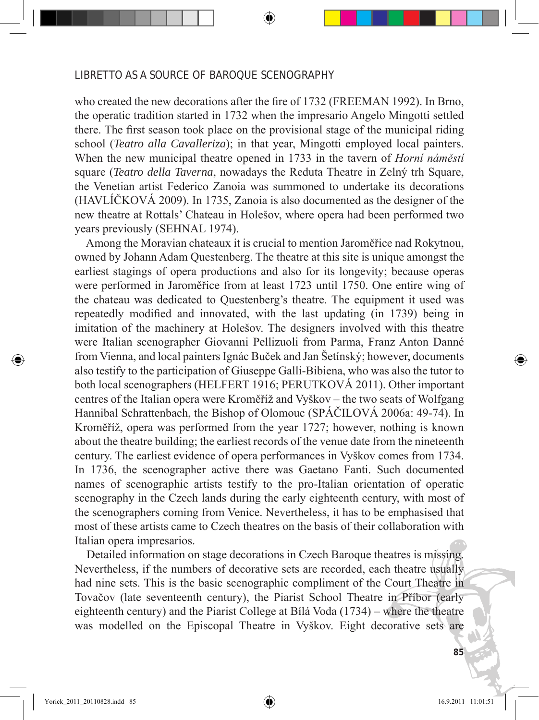who created the new decorations after the fire of 1732 (FREEMAN 1992). In Brno, the operatic tradition started in 1732 when the impresario Angelo Mingotti settled there. The first season took place on the provisional stage of the municipal riding school (*Teatro alla Cavalleriza*); in that year, Mingotti employed local painters. When the new municipal theatre opened in 1733 in the tavern of *Horní náměstí* square (*Teatro della Taverna*, nowadays the Reduta Theatre in Zelný trh Square, the Venetian artist Federico Zanoia was summoned to undertake its decorations (HAVLÍČKOVÁ 2009). In 1735, Zanoia is also documented as the designer of the new theatre at Rottals' Chateau in Holešov, where opera had been performed two years previously (SEHNAL 1974).

 Among the Moravian chateaux it is crucial to mention Jaroměřice nad Rokytnou, owned by Johann Adam Questenberg. The theatre at this site is unique amongst the earliest stagings of opera productions and also for its longevity; because operas were performed in Jaroměřice from at least 1723 until 1750. One entire wing of the chateau was dedicated to Questenberg's theatre. The equipment it used was repeatedly modified and innovated, with the last updating (in 1739) being in imitation of the machinery at Holešov. The designers involved with this theatre were Italian scenographer Giovanni Pellizuoli from Parma, Franz Anton Danné from Vienna, and local painters Ignác Buček and Jan Šetínský; however, documents also testify to the participation of Giuseppe Galli-Bibiena, who was also the tutor to both local scenographers (HELFERT 1916; PERUTKOVÁ 2011). Other important centres of the Italian opera were Kroměříž and Vyškov – the two seats of Wolfgang Hannibal Schrattenbach, the Bishop of Olomouc (SPÁČILOVÁ 2006a: 49-74). In Kroměříž, opera was performed from the year 1727; however, nothing is known about the theatre building; the earliest records of the venue date from the nineteenth century. The earliest evidence of opera performances in Vyškov comes from 1734. In 1736, the scenographer active there was Gaetano Fanti. Such documented names of scenographic artists testify to the pro-Italian orientation of operatic scenography in the Czech lands during the early eighteenth century, with most of the scenographers coming from Venice. Nevertheless, it has to be emphasised that most of these artists came to Czech theatres on the basis of their collaboration with Italian opera impresarios.

 Detailed information on stage decorations in Czech Baroque theatres is missing. Nevertheless, if the numbers of decorative sets are recorded, each theatre usually had nine sets. This is the basic scenographic compliment of the Court Theatre in Tovačov (late seventeenth century), the Piarist School Theatre in Příbor (early eighteenth century) and the Piarist College at Bílá Voda (1734) – where the theatre was modelled on the Episcopal Theatre in Vyškov. Eight decorative sets are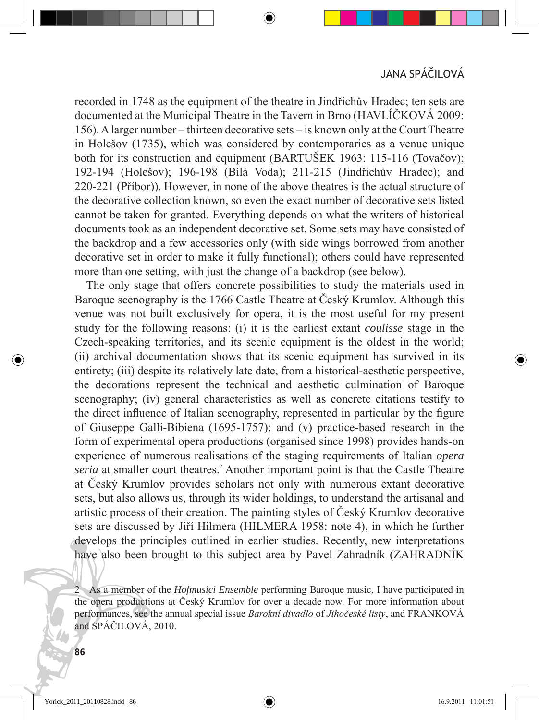recorded in 1748 as the equipment of the theatre in Jindřichův Hradec; ten sets are documented at the Municipal Theatre in the Tavern in Brno (HAVLÍČKOVÁ 2009: 156). A larger number – thirteen decorative sets – is known only at the Court Theatre in Holešov (1735), which was considered by contemporaries as a venue unique both for its construction and equipment (BARTUŠEK 1963: 115-116 (Tovačov); 192-194 (Holešov); 196-198 (Bílá Voda); 211-215 (Jindřichův Hradec); and 220-221 (Příbor)). However, in none of the above theatres is the actual structure of the decorative collection known, so even the exact number of decorative sets listed cannot be taken for granted. Everything depends on what the writers of historical documents took as an independent decorative set. Some sets may have consisted of the backdrop and a few accessories only (with side wings borrowed from another decorative set in order to make it fully functional); others could have represented more than one setting, with just the change of a backdrop (see below).

 The only stage that offers concrete possibilities to study the materials used in Baroque scenography is the 1766 Castle Theatre at Český Krumlov. Although this venue was not built exclusively for opera, it is the most useful for my present study for the following reasons: (i) it is the earliest extant *coulisse* stage in the Czech-speaking territories, and its scenic equipment is the oldest in the world; (ii) archival documentation shows that its scenic equipment has survived in its entirety; (iii) despite its relatively late date, from a historical-aesthetic perspective, the decorations represent the technical and aesthetic culmination of Baroque scenography; (iv) general characteristics as well as concrete citations testify to the direct influence of Italian scenography, represented in particular by the figure of Giuseppe Galli-Bibiena (1695-1757); and (v) practice-based research in the form of experimental opera productions (organised since 1998) provides hands-on experience of numerous realisations of the staging requirements of Italian *opera*  seria at smaller court theatres.<sup>2</sup> Another important point is that the Castle Theatre at Český Krumlov provides scholars not only with numerous extant decorative sets, but also allows us, through its wider holdings, to understand the artisanal and artistic process of their creation. The painting styles of Český Krumlov decorative sets are discussed by Jiří Hilmera (HILMERA 1958: note 4), in which he further develops the principles outlined in earlier studies. Recently, new interpretations have also been brought to this subject area by Pavel Zahradník (ZAHRADNÍK

<sup>2</sup> As a member of the *Hofmusici Ensemble* performing Baroque music, I have participated in the opera productions at Český Krumlov for over a decade now. For more information about performances, see the annual special issue *Barokní divadlo* of *Jihočeské listy*, and FRANKOVÁ and SPÁČILOVÁ, 2010.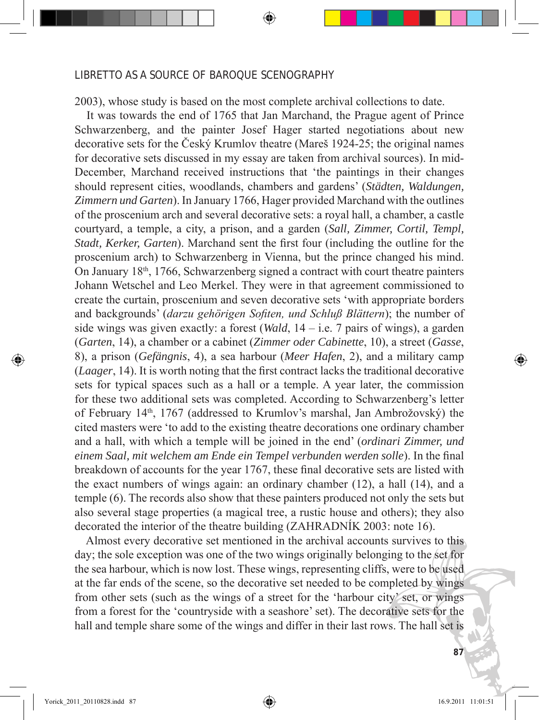2003), whose study is based on the most complete archival collections to date.

 It was towards the end of 1765 that Jan Marchand, the Prague agent of Prince Schwarzenberg, and the painter Josef Hager started negotiations about new decorative sets for the Český Krumlov theatre (Mareš 1924-25; the original names for decorative sets discussed in my essay are taken from archival sources). In mid-December, Marchand received instructions that 'the paintings in their changes should represent cities, woodlands, chambers and gardens' (*Städten, Waldungen, Zimmern und Garten*). In January 1766, Hager provided Marchand with the outlines of the proscenium arch and several decorative sets: a royal hall, a chamber, a castle courtyard, a temple, a city, a prison, and a garden (*Sall, Zimmer, Cortil, Templ, Stadt, Kerker, Garten*). Marchand sent the first four (including the outline for the proscenium arch) to Schwarzenberg in Vienna, but the prince changed his mind. On January  $18<sup>th</sup>$ , 1766, Schwarzenberg signed a contract with court theatre painters Johann Wetschel and Leo Merkel. They were in that agreement commissioned to create the curtain, proscenium and seven decorative sets 'with appropriate borders and backgrounds' (*darzu gehörigen Sofiten, und Schluß Blättern*); the number of side wings was given exactly: a forest (*Wald*, 14 – i.e. 7 pairs of wings), a garden (*Garten*, 14), a chamber or a cabinet (*Zimmer oder Cabinette*, 10), a street (*Gasse*, 8), a prison (*Gefängnis*, 4), a sea harbour (*Meer Hafen*, 2), and a military camp (*Laager*, 14). It is worth noting that the first contract lacks the traditional decorative sets for typical spaces such as a hall or a temple. A year later, the commission for these two additional sets was completed. According to Schwarzenberg's letter of February 14th, 1767 (addressed to Krumlov's marshal, Jan Ambrožovský) the cited masters were 'to add to the existing theatre decorations one ordinary chamber and a hall, with which a temple will be joined in the end' (*ordinari Zimmer, und einem Saal, mit welchem am Ende ein Tempel verbunden werden solle*). In the final breakdown of accounts for the year 1767, these final decorative sets are listed with the exact numbers of wings again: an ordinary chamber (12), a hall (14), and a temple (6). The records also show that these painters produced not only the sets but also several stage properties (a magical tree, a rustic house and others); they also decorated the interior of the theatre building (ZAHRADNÍK 2003: note 16).

 Almost every decorative set mentioned in the archival accounts survives to this day; the sole exception was one of the two wings originally belonging to the set for the sea harbour, which is now lost. These wings, representing cliffs, were to be used at the far ends of the scene, so the decorative set needed to be completed by wings from other sets (such as the wings of a street for the 'harbour city' set, or wings from a forest for the 'countryside with a seashore' set). The decorative sets for the hall and temple share some of the wings and differ in their last rows. The hall set is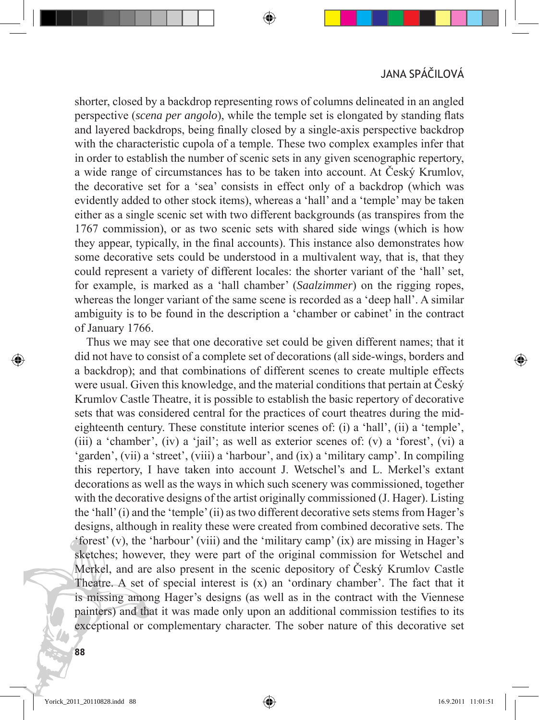shorter, closed by a backdrop representing rows of columns delineated in an angled perspective (*scena per angolo*), while the temple set is elongated by standing flats and layered backdrops, being finally closed by a single-axis perspective backdrop with the characteristic cupola of a temple. These two complex examples infer that in order to establish the number of scenic sets in any given scenographic repertory, a wide range of circumstances has to be taken into account. At Český Krumlov, the decorative set for a 'sea' consists in effect only of a backdrop (which was evidently added to other stock items), whereas a 'hall' and a 'temple' may be taken either as a single scenic set with two different backgrounds (as transpires from the 1767 commission), or as two scenic sets with shared side wings (which is how they appear, typically, in the final accounts). This instance also demonstrates how some decorative sets could be understood in a multivalent way, that is, that they could represent a variety of different locales: the shorter variant of the 'hall' set, for example, is marked as a 'hall chamber' (*Saalzimmer*) on the rigging ropes, whereas the longer variant of the same scene is recorded as a 'deep hall'. A similar ambiguity is to be found in the description a 'chamber or cabinet' in the contract of January 1766.

 Thus we may see that one decorative set could be given different names; that it did not have to consist of a complete set of decorations (all side-wings, borders and a backdrop); and that combinations of different scenes to create multiple effects were usual. Given this knowledge, and the material conditions that pertain at Český Krumlov Castle Theatre, it is possible to establish the basic repertory of decorative sets that was considered central for the practices of court theatres during the mideighteenth century. These constitute interior scenes of: (i) a 'hall', (ii) a 'temple', (iii) a 'chamber', (iv) a 'jail'; as well as exterior scenes of: (v) a 'forest', (vi) a 'garden', (vii) a 'street', (viii) a 'harbour', and (ix) a 'military camp'. In compiling this repertory, I have taken into account J. Wetschel's and L. Merkel's extant decorations as well as the ways in which such scenery was commissioned, together with the decorative designs of the artist originally commissioned (J. Hager). Listing the 'hall' (i) and the 'temple' (ii) as two different decorative sets stems from Hager's designs, although in reality these were created from combined decorative sets. The 'forest' (v), the 'harbour' (viii) and the 'military camp' (ix) are missing in Hager's sketches; however, they were part of the original commission for Wetschel and Merkel, and are also present in the scenic depository of Český Krumlov Castle Theatre. A set of special interest is (x) an 'ordinary chamber'. The fact that it is missing among Hager's designs (as well as in the contract with the Viennese painters) and that it was made only upon an additional commission testifies to its exceptional or complementary character. The sober nature of this decorative set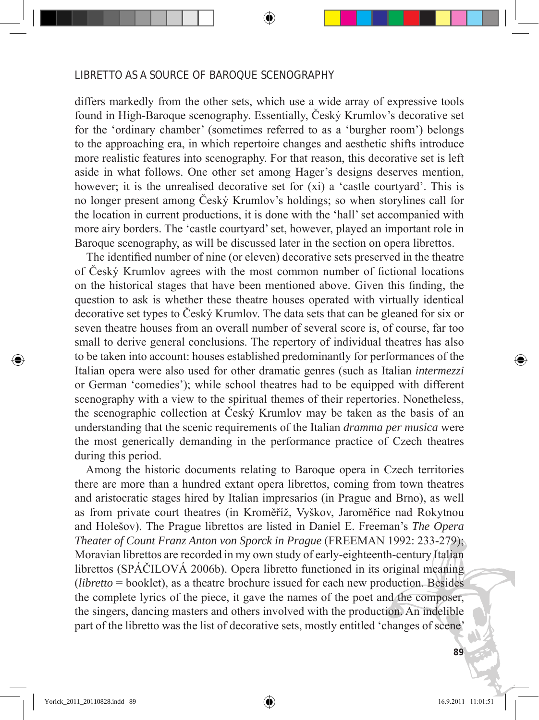differs markedly from the other sets, which use a wide array of expressive tools found in High-Baroque scenography. Essentially, Český Krumlov's decorative set for the 'ordinary chamber' (sometimes referred to as a 'burgher room') belongs to the approaching era, in which repertoire changes and aesthetic shifts introduce more realistic features into scenography. For that reason, this decorative set is left aside in what follows. One other set among Hager's designs deserves mention, however; it is the unrealised decorative set for (xi) a 'castle courtyard'. This is no longer present among Český Krumlov's holdings; so when storylines call for the location in current productions, it is done with the 'hall' set accompanied with more airy borders. The 'castle courtyard' set, however, played an important role in Baroque scenography, as will be discussed later in the section on opera librettos.

 The identified number of nine (or eleven) decorative sets preserved in the theatre of Český Krumlov agrees with the most common number of fictional locations on the historical stages that have been mentioned above. Given this finding, the question to ask is whether these theatre houses operated with virtually identical decorative set types to Český Krumlov. The data sets that can be gleaned for six or seven theatre houses from an overall number of several score is, of course, far too small to derive general conclusions. The repertory of individual theatres has also to be taken into account: houses established predominantly for performances of the Italian opera were also used for other dramatic genres (such as Italian *intermezzi* or German 'comedies'); while school theatres had to be equipped with different scenography with a view to the spiritual themes of their repertories. Nonetheless, the scenographic collection at Český Krumlov may be taken as the basis of an understanding that the scenic requirements of the Italian *dramma per musica* were the most generically demanding in the performance practice of Czech theatres during this period.

 Among the historic documents relating to Baroque opera in Czech territories there are more than a hundred extant opera librettos, coming from town theatres and aristocratic stages hired by Italian impresarios (in Prague and Brno), as well as from private court theatres (in Kroměříž, Vyškov, Jaroměřice nad Rokytnou and Holešov). The Prague librettos are listed in Daniel E. Freeman's *The Opera Theater of Count Franz Anton von Sporck in Prague* (FREEMAN 1992: 233-279); Moravian librettos are recorded in my own study of early-eighteenth-century Italian librettos (SPÁČILOVÁ 2006b). Opera libretto functioned in its original meaning (*libretto* = booklet), as a theatre brochure issued for each new production. Besides the complete lyrics of the piece, it gave the names of the poet and the composer, the singers, dancing masters and others involved with the production. An indelible part of the libretto was the list of decorative sets, mostly entitled 'changes of scene'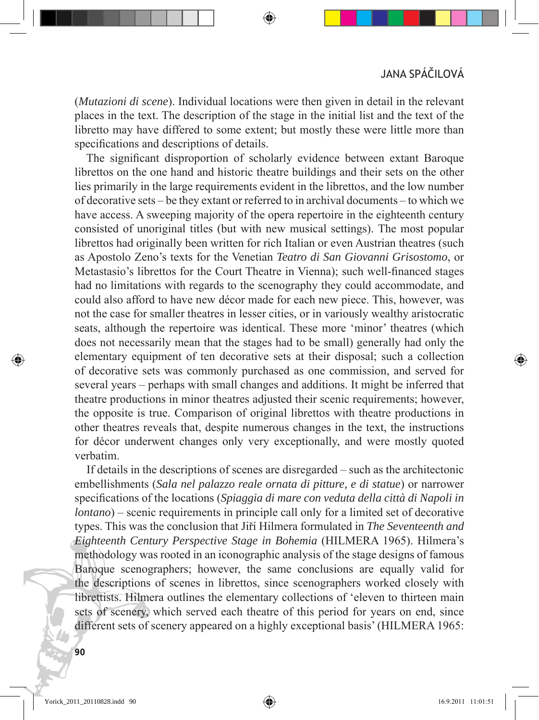(*Mutazioni di scene*). Individual locations were then given in detail in the relevant places in the text. The description of the stage in the initial list and the text of the libretto may have differed to some extent; but mostly these were little more than specifications and descriptions of details.

 The significant disproportion of scholarly evidence between extant Baroque librettos on the one hand and historic theatre buildings and their sets on the other lies primarily in the large requirements evident in the librettos, and the low number of decorative sets – be they extant or referred to in archival documents – to which we have access. A sweeping majority of the opera repertoire in the eighteenth century consisted of unoriginal titles (but with new musical settings). The most popular librettos had originally been written for rich Italian or even Austrian theatres (such as Apostolo Zeno's texts for the Venetian *Teatro di San Giovanni Grisostomo*, or Metastasio's librettos for the Court Theatre in Vienna); such well-financed stages had no limitations with regards to the scenography they could accommodate, and could also afford to have new décor made for each new piece. This, however, was not the case for smaller theatres in lesser cities, or in variously wealthy aristocratic seats, although the repertoire was identical. These more 'minor' theatres (which does not necessarily mean that the stages had to be small) generally had only the elementary equipment of ten decorative sets at their disposal; such a collection of decorative sets was commonly purchased as one commission, and served for several years – perhaps with small changes and additions. It might be inferred that theatre productions in minor theatres adjusted their scenic requirements; however, the opposite is true. Comparison of original librettos with theatre productions in other theatres reveals that, despite numerous changes in the text, the instructions for décor underwent changes only very exceptionally, and were mostly quoted verbatim.

 If details in the descriptions of scenes are disregarded – such as the architectonic embellishments (*Sala nel palazzo reale ornata di pitture, e di statue*) or narrower specifications of the locations (*Spiaggia di mare con veduta della città di Napoli in lontano*) – scenic requirements in principle call only for a limited set of decorative types. This was the conclusion that Jiří Hilmera formulated in *The Seventeenth and Eighteenth Century Perspective Stage in Bohemia* (HILMERA 1965). Hilmera's methodology was rooted in an iconographic analysis of the stage designs of famous Baroque scenographers; however, the same conclusions are equally valid for the descriptions of scenes in librettos, since scenographers worked closely with librettists. Hilmera outlines the elementary collections of 'eleven to thirteen main sets of scenery, which served each theatre of this period for years on end, since different sets of scenery appeared on a highly exceptional basis' (HILMERA 1965: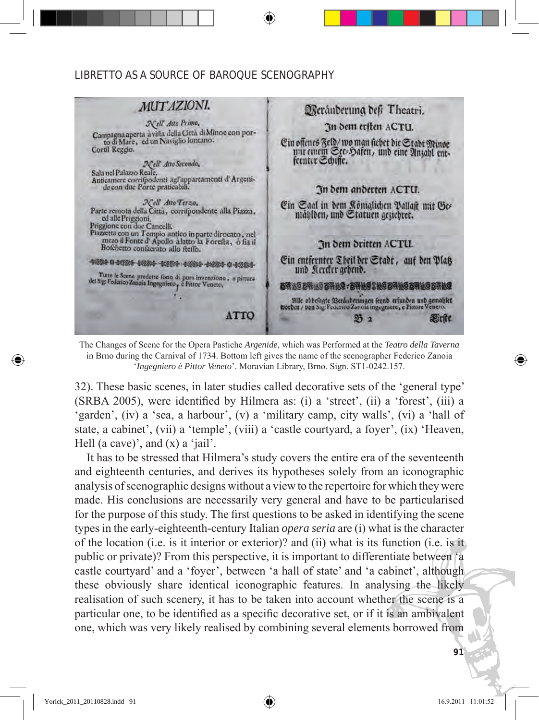

The Changes of Scene for the Opera Pastiche *Argenide*, which was Performed at the *Teatro della Taverna* in Brno during the Carnival of 1734. Bottom left gives the name of the scenographer Federico Zanoia '*Ingegniero è Pittor Veneto*'. Moravian Library, Brno. Sign. ST1-0242.157.

32). These basic scenes, in later studies called decorative sets of the 'general type' (SRBA 2005), were identified by Hilmera as: (i) a 'street', (ii) a 'forest', (iii) a 'garden', (iv) a 'sea, a harbour', (v) a 'military camp, city walls', (vi) a 'hall of state, a cabinet', (vii) a 'temple', (viii) a 'castle courtyard, a foyer', (ix) 'Heaven, Hell (a cave)', and  $(x)$  a 'jail'.

 It has to be stressed that Hilmera's study covers the entire era of the seventeenth and eighteenth centuries, and derives its hypotheses solely from an iconographic analysis of scenographic designs without a view to the repertoire for which they were made. His conclusions are necessarily very general and have to be particularised for the purpose of this study. The first questions to be asked in identifying the scene types in the early-eighteenth-century Italian *opera seria* are (i) what is the character of the location (i.e. is it interior or exterior)? and (ii) what is its function (i.e. is it public or private)? From this perspective, it is important to differentiate between 'a castle courtyard' and a 'foyer', between 'a hall of state' and 'a cabinet', although these obviously share identical iconographic features. In analysing the likely realisation of such scenery, it has to be taken into account whether the scene is a particular one, to be identified as a specific decorative set, or if it is an ambivalent one, which was very likely realised by combining several elements borrowed from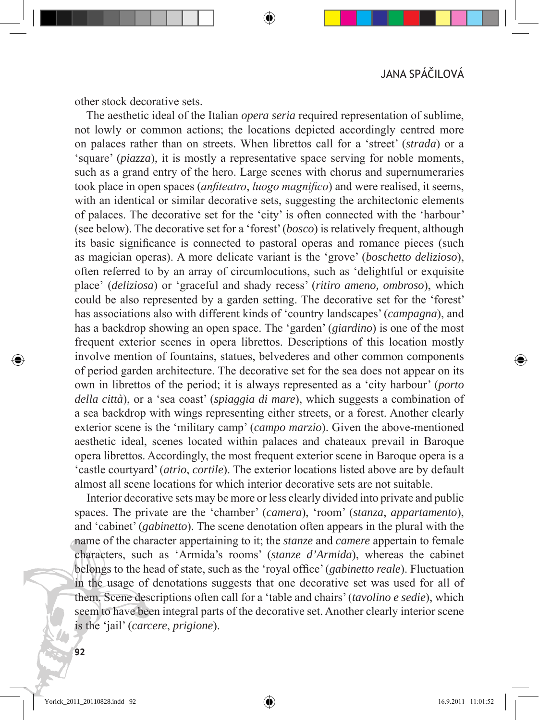other stock decorative sets.

 The aesthetic ideal of the Italian *opera seria* required representation of sublime, not lowly or common actions; the locations depicted accordingly centred more on palaces rather than on streets. When librettos call for a 'street' (*strada*) or a 'square' (*piazza*), it is mostly a representative space serving for noble moments, such as a grand entry of the hero. Large scenes with chorus and supernumeraries took place in open spaces (*anfiteatro*, *luogo magnifico*) and were realised, it seems, with an identical or similar decorative sets, suggesting the architectonic elements of palaces. The decorative set for the 'city' is often connected with the 'harbour' (see below). The decorative set for a 'forest' (*bosco*) is relatively frequent, although its basic significance is connected to pastoral operas and romance pieces (such as magician operas). A more delicate variant is the 'grove' (*boschetto delizioso*), often referred to by an array of circumlocutions, such as 'delightful or exquisite place' (*deliziosa*) or 'graceful and shady recess' (*ritiro ameno, ombroso*), which could be also represented by a garden setting. The decorative set for the 'forest' has associations also with different kinds of 'country landscapes' (*campagna*), and has a backdrop showing an open space. The 'garden' (*giardino*) is one of the most frequent exterior scenes in opera librettos. Descriptions of this location mostly involve mention of fountains, statues, belvederes and other common components of period garden architecture. The decorative set for the sea does not appear on its own in librettos of the period; it is always represented as a 'city harbour' (*porto della città*), or a 'sea coast' (*spiaggia di mare*), which suggests a combination of a sea backdrop with wings representing either streets, or a forest. Another clearly exterior scene is the 'military camp' (*campo marzio*). Given the above-mentioned aesthetic ideal, scenes located within palaces and chateaux prevail in Baroque opera librettos. Accordingly, the most frequent exterior scene in Baroque opera is a 'castle courtyard' (*atrio*, *cortile*). The exterior locations listed above are by default almost all scene locations for which interior decorative sets are not suitable.

 Interior decorative sets may be more or less clearly divided into private and public spaces. The private are the 'chamber' (*camera*), 'room' (*stanza*, *appartamento*), and 'cabinet' (*gabinetto*). The scene denotation often appears in the plural with the name of the character appertaining to it; the *stanze* and *camere* appertain to female characters, such as 'Armida's rooms' (*stanze d'Armida*), whereas the cabinet belongs to the head of state, such as the 'royal office' (*gabinetto reale*). Fluctuation in the usage of denotations suggests that one decorative set was used for all of them. Scene descriptions often call for a 'table and chairs' (*tavolino e sedie*), which seem to have been integral parts of the decorative set. Another clearly interior scene is the 'jail' (*carcere*, *prigione*).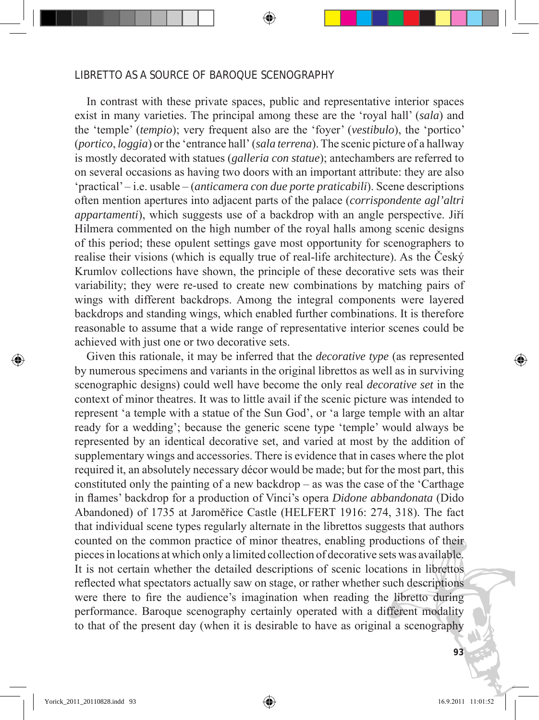In contrast with these private spaces, public and representative interior spaces exist in many varieties. The principal among these are the 'royal hall' (*sala*) and the 'temple' (*tempio*); very frequent also are the 'foyer' (*vestibulo*), the 'portico' (*portico*, *loggia*) or the 'entrance hall' (*sala terrena*). The scenic picture of a hallway is mostly decorated with statues (*galleria con statue*); antechambers are referred to on several occasions as having two doors with an important attribute: they are also 'practical' – i.e. usable– (*anticamera con due porte praticabili*). Scene descriptions often mention apertures into adjacent parts of the palace (*corrispondente agl'altri appartamenti*), which suggests use of a backdrop with an angle perspective. Jiří Hilmera commented on the high number of the royal halls among scenic designs of this period; these opulent settings gave most opportunity for scenographers to realise their visions (which is equally true of real-life architecture). As the Český Krumlov collections have shown, the principle of these decorative sets was their variability; they were re-used to create new combinations by matching pairs of wings with different backdrops. Among the integral components were layered backdrops and standing wings, which enabled further combinations. It is therefore reasonable to assume that a wide range of representative interior scenes could be achieved with just one or two decorative sets.

 Given this rationale, it may be inferred that the *decorative type* (as represented by numerous specimens and variants in the original librettos as well as in surviving scenographic designs) could well have become the only real *decorative set* in the context of minor theatres. It was to little avail if the scenic picture was intended to represent 'a temple with a statue of the Sun God', or 'a large temple with an altar ready for a wedding'; because the generic scene type 'temple' would always be represented by an identical decorative set, and varied at most by the addition of supplementary wings and accessories. There is evidence that in cases where the plot required it, an absolutely necessary décor would be made; but for the most part, this constituted only the painting of a new backdrop – as was the case of the 'Carthage in flames' backdrop for a production of Vinci's opera *Didone abbandonata* (Dido Abandoned) of 1735 at Jaroměřice Castle (HELFERT 1916: 274, 318). The fact that individual scene types regularly alternate in the librettos suggests that authors counted on the common practice of minor theatres, enabling productions of their pieces in locations at which only a limited collection of decorative sets was available. It is not certain whether the detailed descriptions of scenic locations in librettos reflected what spectators actually saw on stage, or rather whether such descriptions were there to fire the audience's imagination when reading the libretto during performance. Baroque scenography certainly operated with a different modality to that of the present day (when it is desirable to have as original a scenography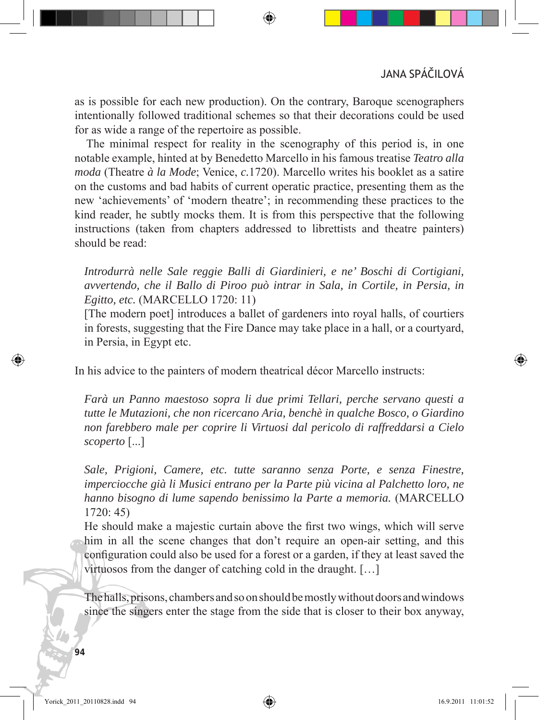JANA SPÁČILOVÁ

as is possible for each new production). On the contrary, Baroque scenographers intentionally followed traditional schemes so that their decorations could be used for as wide a range of the repertoire as possible.

 The minimal respect for reality in the scenography of this period is, in one notable example, hinted at by Benedetto Marcello in his famous treatise *Teatro alla moda* (Theatre *à la Mode*; Venice, *c.*1720). Marcello writes his booklet as a satire on the customs and bad habits of current operatic practice, presenting them as the new 'achievements' of 'modern theatre'; in recommending these practices to the kind reader, he subtly mocks them. It is from this perspective that the following instructions (taken from chapters addressed to librettists and theatre painters) should be read:

*Introdurrà nelle Sale reggie Balli di Giardinieri, e ne' Boschi di Cortigiani, avvertendo, che il Ballo di Piroo può intrar in Sala, in Cortile, in Persia, in Egitto, etc.* (MARCELLO 1720: 11)

[The modern poet] introduces a ballet of gardeners into royal halls, of courtiers in forests, suggesting that the Fire Dance may take place in a hall, or a courtyard, in Persia, in Egypt etc.

In his advice to the painters of modern theatrical décor Marcello instructs:

*Farà un Panno maestoso sopra li due primi Tellari, perche servano questi a tutte le Mutazioni, che non ricercano Aria, benchè in qualche Bosco, o Giardino non farebbero male per coprire li Virtuosi dal pericolo di raffreddarsi a Cielo scoperto* [...]

*Sale, Prigioni, Camere, etc. tutte saranno senza Porte, e senza Finestre, imperciocche già li Musici entrano per la Parte più vicina al Palchetto loro, ne hanno bisogno di lume sapendo benissimo la Parte a memoria.* (MARCELLO 1720: 45)

He should make a majestic curtain above the first two wings, which will serve him in all the scene changes that don't require an open-air setting, and this configuration could also be used for a forest or a garden, if they at least saved the virtuosos from the danger of catching cold in the draught. […]

The halls, prisons, chambers and so on should be mostly without doors and windows since the singers enter the stage from the side that is closer to their box anyway,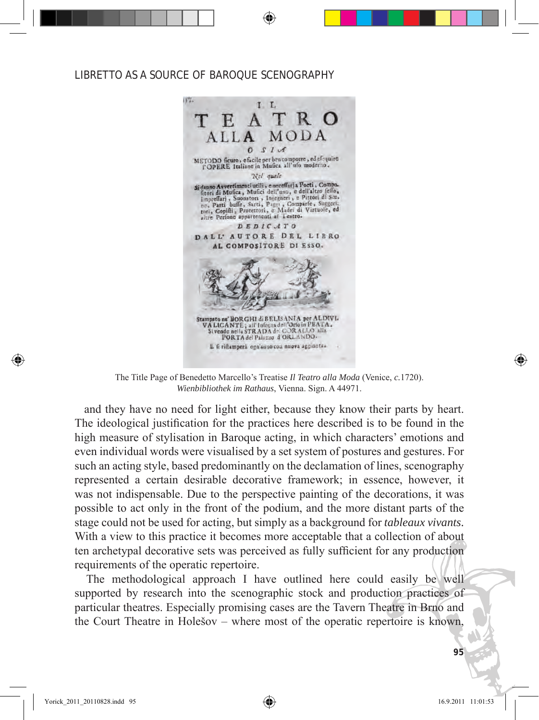

The Title Page of Benedetto Marcello's Treatise *Il Teatro alla Moda* (Venice, *c.*1720). *Wienbibliothek im Rathaus*, Vienna. Sign. A 44971.

and they have no need for light either, because they know their parts by heart. The ideological justification for the practices here described is to be found in the high measure of stylisation in Baroque acting, in which characters' emotions and even individual words were visualised by a set system of postures and gestures. For such an acting style, based predominantly on the declamation of lines, scenography represented a certain desirable decorative framework; in essence, however, it was not indispensable. Due to the perspective painting of the decorations, it was possible to act only in the front of the podium, and the more distant parts of the stage could not be used for acting, but simply as a background for *tableaux vivants*. With a view to this practice it becomes more acceptable that a collection of about ten archetypal decorative sets was perceived as fully sufficient for any production requirements of the operatic repertoire.

 The methodological approach I have outlined here could easily be well supported by research into the scenographic stock and production practices of particular theatres. Especially promising cases are the Tavern Theatre in Brno and the Court Theatre in Holešov – where most of the operatic repertoire is known,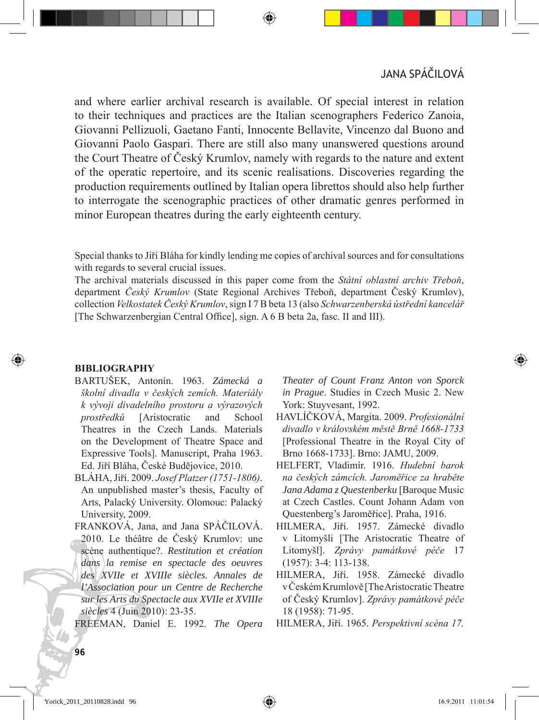and where earlier archival research is available. Of special interest in relation to their techniques and practices are the Italian scenographers Federico Zanoia, Giovanni Pellizuoli, Gaetano Fanti, Innocente Bellavite, Vincenzo dal Buono and Giovanni Paolo Gaspari. There are still also many unanswered questions around the Court Theatre of Český Krumlov, namely with regards to the nature and extent of the operatic repertoire, and its scenic realisations. Discoveries regarding the production requirements outlined by Italian opera librettos should also help further to interrogate the scenographic practices of other dramatic genres performed in minor European theatres during the early eighteenth century.

Special thanks to Jiří Bláha for kindly lending me copies of archival sources and for consultations with regards to several crucial issues.

The archival materials discussed in this paper come from the *Státní oblastní archiv Třeboň*, department *Český Krumlov* (State Regional Archives Třeboň, department Český Krumlov), collection *Velkostatek Český Krumlov*, sign I 7 B beta 13 (also *Schwarzenberská ústřední kancelář* [The Schwarzenbergian Central Office], sign. A 6 B beta 2a, fasc. II and III).

#### **BIBLIOGRAPHY**

- BARTUŠEK, Antonín. 1963. *Zámecká a školní divadla v českých zemích. Materiály k vývoji divadelního prostoru a výrazových prostředků* [Aristocratic and School Theatres in the Czech Lands. Materials on the Development of Theatre Space and Expressive Tools]. Manuscript, Praha 1963. Ed. Jiří Bláha, České Budějovice, 2010.
- BLÁHA, Jiří. 2009. *Josef Platzer (1751-1806)*. An unpublished master's thesis, Faculty of Arts, Palacký University. Olomouc: Palacký University, 2009.
- FRANKOVÁ, Jana, and Jana SPÁČILOVÁ. 2010. Le théâtre de Český Krumlov: une scène authentique?. *Restitution et création dans la remise en spectacle des oeuvres des XVIIe et XVIIIe siècles. Annales de l'Association pour un Centre de Recherche sur les Arts du Spectacle aux XVIIe et XVIIIe siècles* 4 (Juin 2010): 23-35.

FREEMAN, Daniel E. 1992. *The Opera* 

*Theater of Count Franz Anton von Sporck in Prague*. Studies in Czech Music 2. New York: Stuyvesant, 1992.

- HAVLÍČKOVÁ, Margita. 2009. *Profesionální divadlo v královském městě Brně 1668-1733* [Professional Theatre in the Royal City of Brno 1668-1733]. Brno: JAMU, 2009.
- HELFERT, Vladimír. 1916. *Hudební barok na českých zámcích. Jaroměřice za hraběte Jana Adama z Questenberku* [Baroque Music at Czech Castles. Count Johann Adam von Questenberg's Jaroměřice]. Praha, 1916.
- HILMERA, Jiří. 1957. Zámecké divadlo v Litomyšli [The Aristocratic Theatre of Litomyšl]. *Zprávy památkové péče* 17 (1957): 3-4: 113-138.
- HILMERA, Jiří. 1958. Zámecké divadlo v Českém Krumlově [The Aristocratic Theatre of Český Krumlov]. *Zprávy památkové péče* 18 (1958): 71-95.
- HILMERA, Jiří. 1965. *Perspektivní scéna 17.*